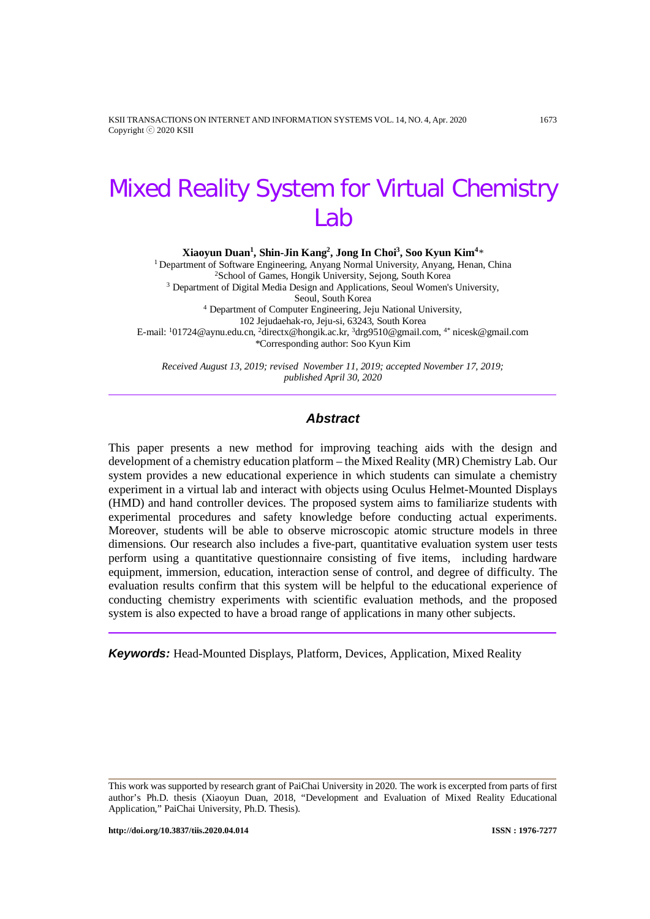KSII TRANSACTIONS ON INTERNET AND INFORMATION SYSTEMS VOL. 14, NO. 4, Apr. 2020 1673 Copyright ⓒ 2020 KSII

# Mixed Reality System for Virtual Chemistry Lab

**Xiaoyun Duan1 , Shin-Jin Kang2 , Jong In Choi3 , Soo Kyun Kim4** *\**

1 Department of Software Engineering, Anyang Normal Universit*y,* Anyang, Henan, China 2School of Games, Hongik University, Sejong, South Korea <sup>3</sup> Department of Digital Media Design and Applications, Seoul Women's University, Seoul, South Korea <sup>4</sup> Department of Computer Engineering, Jeju National University, 102 Jejudaehak-ro, Jeju-si, 63243, South Korea E-mail: 101724@aynu.edu.cn, 2directx@hongik.ac.kr, 3drg9510@gmail.com, 4\* nicesk@gmail.com *\**Corresponding author: Soo Kyun Kim

*Received August 13, 2019; revised November 11, 2019; accepted November 17, 2019; published April 30, 2020*

## *Abstract*

This paper presents a new method for improving teaching aids with the design and development of a chemistry education platform – the Mixed Reality (MR) Chemistry Lab. Our system provides a new educational experience in which students can simulate a chemistry experiment in a virtual lab and interact with objects using Oculus Helmet-Mounted Displays (HMD) and hand controller devices. The proposed system aims to familiarize students with experimental procedures and safety knowledge before conducting actual experiments. Moreover, students will be able to observe microscopic atomic structure models in three dimensions. Our research also includes a five-part, quantitative evaluation system user tests perform using a quantitative questionnaire consisting of five items, including hardware equipment, immersion, education, interaction sense of control, and degree of difficulty. The evaluation results confirm that this system will be helpful to the educational experience of conducting chemistry experiments with scientific evaluation methods, and the proposed system is also expected to have a broad range of applications in many other subjects.

*Keywords:* Head-Mounted Displays, Platform, Devices, Application, Mixed Reality

This work was supported by research grant of PaiChai University in 2020. The work is excerpted from parts of first author's Ph.D. thesis (Xiaoyun Duan, 2018, "Development and Evaluation of Mixed Reality Educational Application," PaiChai University, Ph.D. Thesis).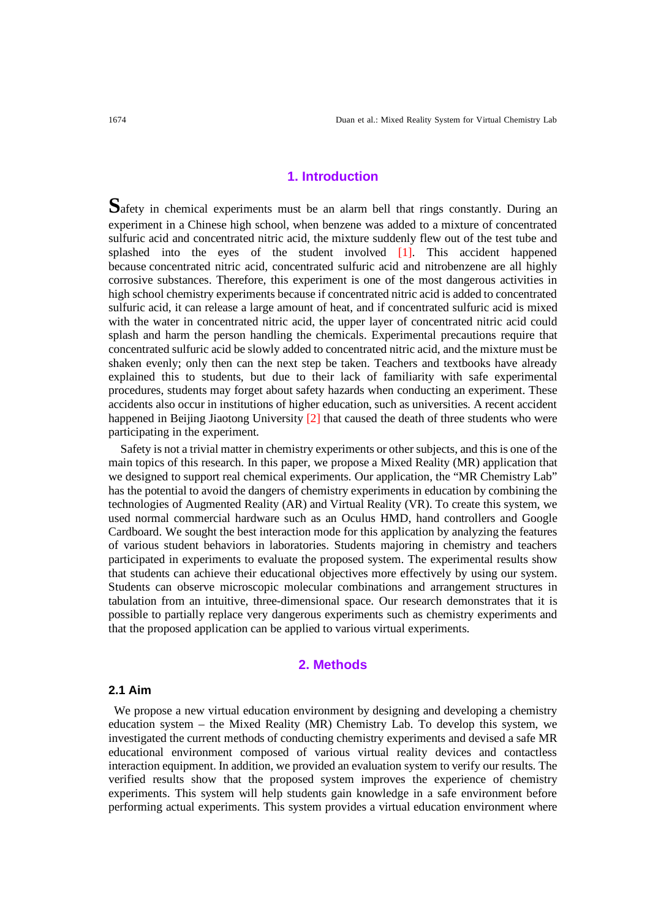## **1. Introduction**

Safety in chemical experiments must be an alarm bell that rings constantly. During an experiment in a Chinese high school, when benzene was added to a mixture of concentrated sulfuric acid and concentrated nitric acid, the mixture suddenly flew out of the test tube and splashed into the eyes of the student involved [1]. This accident happened because concentrated nitric acid, concentrated sulfuric acid and nitrobenzene are all highly corrosive substances. Therefore, this experiment is one of the most dangerous activities in high school chemistry experiments because if concentrated nitric acid is added to concentrated sulfuric acid, it can release a large amount of heat, and if concentrated sulfuric acid is mixed with the water in concentrated nitric acid, the upper layer of concentrated nitric acid could splash and harm the person handling the chemicals. Experimental precautions require that concentrated sulfuric acid be slowly added to concentrated nitric acid, and the mixture must be shaken evenly; only then can the next step be taken. Teachers and textbooks have already explained this to students, but due to their lack of familiarity with safe experimental procedures, students may forget about safety hazards when conducting an experiment. These accidents also occur in institutions of higher education, such as universities. A recent accident happened in Beijing Jiaotong University [2] that caused the death of three students who were participating in the experiment.

Safety is not a trivial matter in chemistry experiments or other subjects, and this is one of the main topics of this research. In this paper, we propose a Mixed Reality (MR) application that we designed to support real chemical experiments. Our application, the "MR Chemistry Lab" has the potential to avoid the dangers of chemistry experiments in education by combining the technologies of Augmented Reality (AR) and Virtual Reality (VR). To create this system, we used normal commercial hardware such as an Oculus HMD, hand controllers and Google Cardboard. We sought the best interaction mode for this application by analyzing the features of various student behaviors in laboratories. Students majoring in chemistry and teachers participated in experiments to evaluate the proposed system. The experimental results show that students can achieve their educational objectives more effectively by using our system. Students can observe microscopic molecular combinations and arrangement structures in tabulation from an intuitive, three-dimensional space. Our research demonstrates that it is possible to partially replace very dangerous experiments such as chemistry experiments and that the proposed application can be applied to various virtual experiments.

# **2. Methods**

#### **2.1 Aim**

We propose a new virtual education environment by designing and developing a chemistry education system – the Mixed Reality (MR) Chemistry Lab. To develop this system, we investigated the current methods of conducting chemistry experiments and devised a safe MR educational environment composed of various virtual reality devices and contactless interaction equipment. In addition, we provided an evaluation system to verify our results. The verified results show that the proposed system improves the experience of chemistry experiments. This system will help students gain knowledge in a safe environment before performing actual experiments. This system provides a virtual education environment where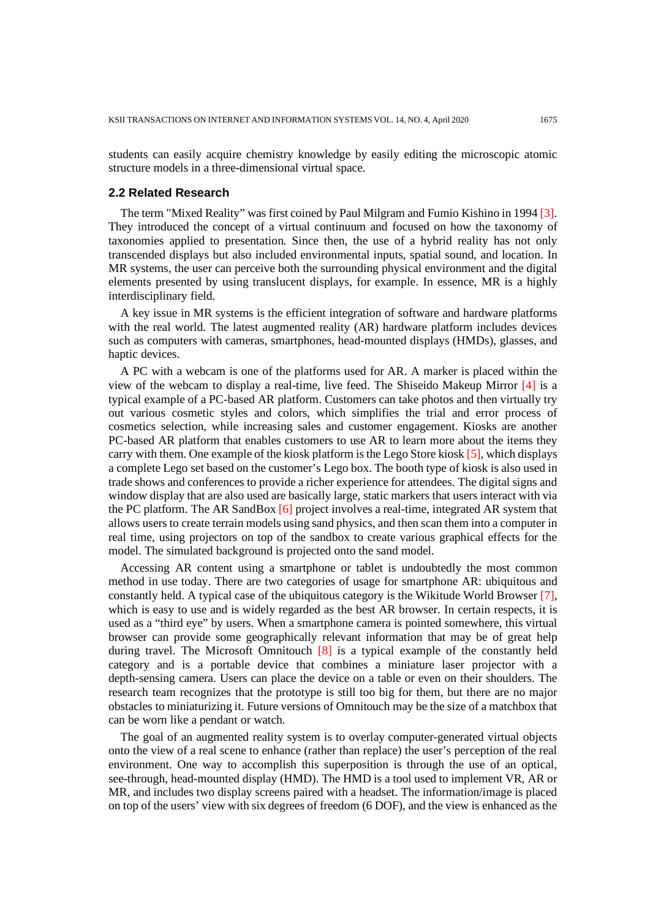students can easily acquire chemistry knowledge by easily editing the microscopic atomic structure models in a three-dimensional virtual space.

#### **2.2 Related Research**

The term "Mixed Reality" was first coined by Paul Milgram and Fumio Kishino in 1994 [3]. They introduced the concept of a virtual continuum and focused on how the taxonomy of taxonomies applied to presentation. Since then, the use of a hybrid reality has not only transcended displays but also included environmental inputs, spatial sound, and location. In MR systems, the user can perceive both the surrounding physical environment and the digital elements presented by using translucent displays, for example. In essence, MR is a highly interdisciplinary field.

A key issue in MR systems is the efficient integration of software and hardware platforms with the real world. The latest augmented reality (AR) hardware platform includes devices such as computers with cameras, smartphones, head-mounted displays (HMDs), glasses, and haptic devices.

A PC with a webcam is one of the platforms used for AR. A marker is placed within the view of the webcam to display a real-time, live feed. The Shiseido Makeup Mirror [4] is a typical example of a PC-based AR platform. Customers can take photos and then virtually try out various cosmetic styles and colors, which simplifies the trial and error process of cosmetics selection, while increasing sales and customer engagement. Kiosks are another PC-based AR platform that enables customers to use AR to learn more about the items they carry with them. One example of the kiosk platform is the Lego Store kiosk [5], which displays a complete Lego set based on the customer's Lego box. The booth type of kiosk is also used in trade shows and conferences to provide a richer experience for attendees. The digital signs and window display that are also used are basically large, static markers that users interact with via the PC platform. The AR SandBox [6] project involves a real-time, integrated AR system that allows users to create terrain models using sand physics, and then scan them into a computer in real time, using projectors on top of the sandbox to create various graphical effects for the model. The simulated background is projected onto the sand model.

Accessing AR content using a smartphone or tablet is undoubtedly the most common method in use today. There are two categories of usage for smartphone AR: ubiquitous and constantly held. A typical case of the ubiquitous category is the Wikitude World Browser [7], which is easy to use and is widely regarded as the best AR browser. In certain respects, it is used as a "third eye" by users. When a smartphone camera is pointed somewhere, this virtual browser can provide some geographically relevant information that may be of great help during travel. The Microsoft Omnitouch [8] is a typical example of the constantly held category and is a portable device that combines a miniature laser projector with a depth-sensing camera. Users can place the device on a table or even on their shoulders. The research team recognizes that the prototype is still too big for them, but there are no major obstacles to miniaturizing it. Future versions of Omnitouch may be the size of a matchbox that can be worn like a pendant or watch.

The goal of an augmented reality system is to overlay computer-generated virtual objects onto the view of a real scene to enhance (rather than replace) the user's perception of the real environment. One way to accomplish this superposition is through the use of an optical, see-through, head-mounted display (HMD). The HMD is a tool used to implement VR, AR or MR, and includes two display screens paired with a headset. The information/image is placed on top of the users' view with six degrees of freedom (6 DOF), and the view is enhanced as the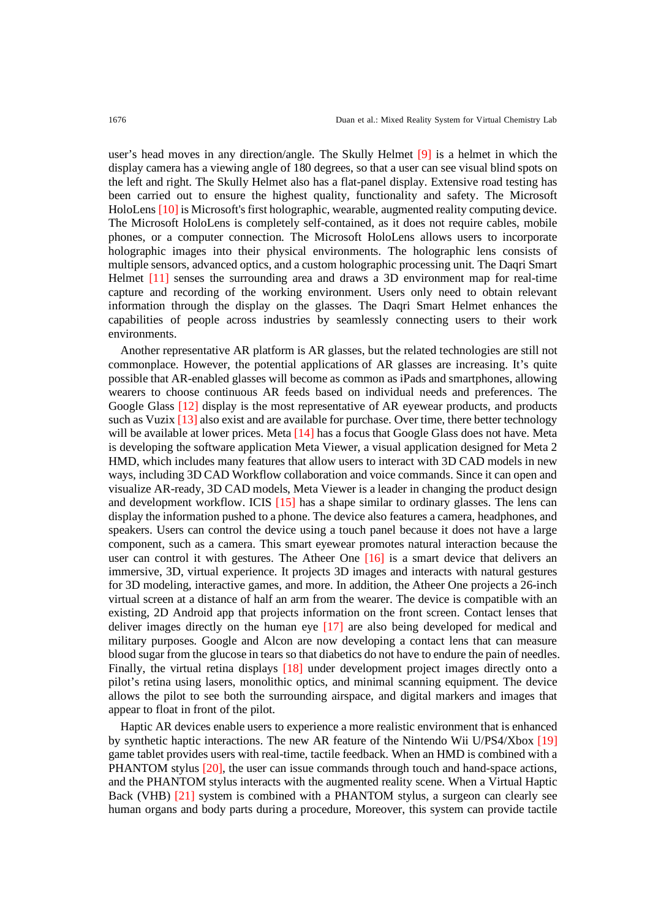user's head moves in any direction/angle. The Skully Helmet [9] is a helmet in which the display camera has a viewing angle of 180 degrees, so that a user can see visual blind spots on the left and right. The Skully Helmet also has a flat-panel display. Extensive road testing has been carried out to ensure the highest quality, functionality and safety. The Microsoft HoloLens [10] is Microsoft's first holographic, wearable, augmented reality computing device. The Microsoft HoloLens is completely self-contained, as it does not require cables, mobile phones, or a computer connection. The Microsoft HoloLens allows users to incorporate holographic images into their physical environments. The holographic lens consists of multiple sensors, advanced optics, and a custom holographic processing unit. The Daqri Smart Helmet [11] senses the surrounding area and draws a 3D environment map for real-time capture and recording of the working environment. Users only need to obtain relevant information through the display on the glasses. The Daqri Smart Helmet enhances the capabilities of people across industries by seamlessly connecting users to their work environments.

Another representative AR platform is AR glasses, but the related technologies are still not commonplace. However, the potential applications of AR glasses are increasing. It's quite possible that AR-enabled glasses will become as common as iPads and smartphones, allowing wearers to choose continuous AR feeds based on individual needs and preferences. The Google Glass [12] display is the most representative of AR eyewear products, and products such as Vuzix [13] also exist and are available for purchase. Over time, there better technology will be available at lower prices. Meta  $[14]$  has a focus that Google Glass does not have. Meta is developing the software application Meta Viewer, a visual application designed for Meta 2 HMD, which includes many features that allow users to interact with 3D CAD models in new ways, including 3D CAD Workflow collaboration and voice commands. Since it can open and visualize AR-ready, 3D CAD models, Meta Viewer is a leader in changing the product design and development workflow. ICIS [15] has a shape similar to ordinary glasses. The lens can display the information pushed to a phone. The device also features a camera, headphones, and speakers. Users can control the device using a touch panel because it does not have a large component, such as a camera. This smart eyewear promotes natural interaction because the user can control it with gestures. The Atheer One  $[16]$  is a smart device that delivers an immersive, 3D, virtual experience. It projects 3D images and interacts with natural gestures for 3D modeling, interactive games, and more. In addition, the Atheer One projects a 26-inch virtual screen at a distance of half an arm from the wearer. The device is compatible with an existing, 2D Android app that projects information on the front screen. Contact lenses that deliver images directly on the human eye [17] are also being developed for medical and military purposes. Google and Alcon are now developing a contact lens that can measure blood sugar from the glucose in tears so that diabetics do not have to endure the pain of needles. Finally, the virtual retina displays [18] under development project images directly onto a pilot's retina using lasers, monolithic optics, and minimal scanning equipment. The device allows the pilot to see both the surrounding airspace, and digital markers and images that appear to float in front of the pilot.

Haptic AR devices enable users to experience a more realistic environment that is enhanced by synthetic haptic interactions. The new AR feature of the Nintendo Wii U/PS4/Xbox [19] game tablet provides users with real-time, tactile feedback. When an HMD is combined with a PHANTOM stylus [20], the user can issue commands through touch and hand-space actions, and the PHANTOM stylus interacts with the augmented reality scene. When a Virtual Haptic Back (VHB) [21] system is combined with a PHANTOM stylus, a surgeon can clearly see human organs and body parts during a procedure, Moreover, this system can provide tactile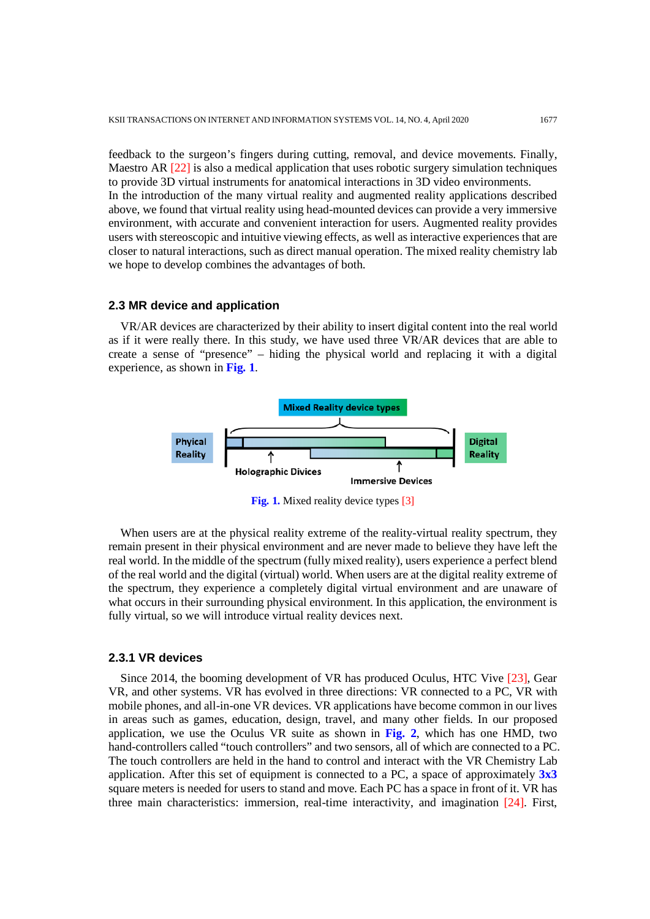feedback to the surgeon's fingers during cutting, removal, and device movements. Finally, Maestro AR [22] is also a medical application that uses robotic surgery simulation techniques to provide 3D virtual instruments for anatomical interactions in 3D video environments. In the introduction of the many virtual reality and augmented reality applications described above, we found that virtual reality using head-mounted devices can provide a very immersive environment, with accurate and convenient interaction for users. Augmented reality provides users with stereoscopic and intuitive viewing effects, as well as interactive experiences that are closer to natural interactions, such as direct manual operation. The mixed reality chemistry lab we hope to develop combines the advantages of both.

#### **2.3 MR device and application**

VR/AR devices are characterized by their ability to insert digital content into the real world as if it were really there. In this study, we have used three VR/AR devices that are able to create a sense of "presence" – hiding the physical world and replacing it with a digital experience, as shown in **Fig. 1**.



**Fig. 1.** Mixed reality device types [3]

When users are at the physical reality extreme of the reality-virtual reality spectrum, they remain present in their physical environment and are never made to believe they have left the real world. In the middle of the spectrum (fully mixed reality), users experience a perfect blend of the real world and the digital (virtual) world. When users are at the digital reality extreme of the spectrum, they experience a completely digital virtual environment and are unaware of what occurs in their surrounding physical environment. In this application, the environment is fully virtual, so we will introduce virtual reality devices next.

#### **2.3.1 VR devices**

Since 2014, the booming development of VR has produced Oculus, HTC Vive [23], Gear VR, and other systems. VR has evolved in three directions: VR connected to a PC, VR with mobile phones, and all-in-one VR devices. VR applications have become common in our lives in areas such as games, education, design, travel, and many other fields. In our proposed application, we use the Oculus VR suite as shown in **Fig. 2**, which has one HMD, two hand-controllers called "touch controllers" and two sensors, all of which are connected to a PC. The touch controllers are held in the hand to control and interact with the VR Chemistry Lab application. After this set of equipment is connected to a PC, a space of approximately **3x3** square meters is needed for users to stand and move. Each PC has a space in front of it. VR has three main characteristics: immersion, real-time interactivity, and imagination [24]. First,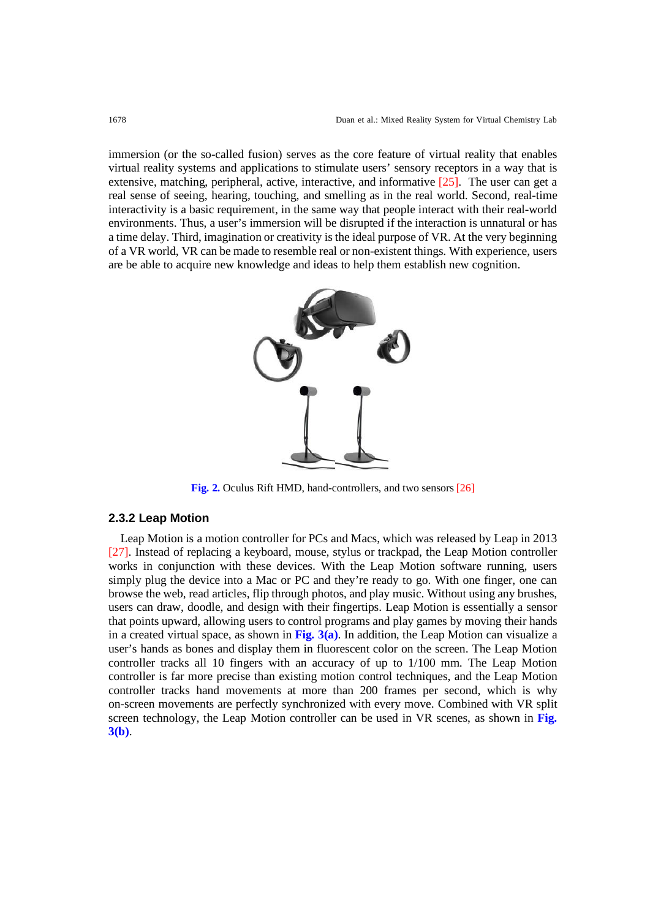immersion (or the so-called fusion) serves as the core feature of virtual reality that enables virtual reality systems and applications to stimulate users' sensory receptors in a way that is extensive, matching, peripheral, active, interactive, and informative [25]. The user can get a real sense of seeing, hearing, touching, and smelling as in the real world. Second, real-time interactivity is a basic requirement, in the same way that people interact with their real-world environments. Thus, a user's immersion will be disrupted if the interaction is unnatural or has a time delay. Third, imagination or creativity is the ideal purpose of VR. At the very beginning of a VR world, VR can be made to resemble real or non-existent things. With experience, users are be able to acquire new knowledge and ideas to help them establish new cognition.



**Fig. 2.** Oculus Rift HMD, hand-controllers, and two sensors [26]

#### **2.3.2 Leap Motion**

Leap Motion is a motion controller for PCs and Macs, which was released by Leap in 2013 [27]. Instead of replacing a keyboard, mouse, stylus or trackpad, the Leap Motion controller works in conjunction with these devices. With the Leap Motion software running, users simply plug the device into a Mac or PC and they're ready to go. With one finger, one can browse the web, read articles, flip through photos, and play music. Without using any brushes, users can draw, doodle, and design with their fingertips. Leap Motion is essentially a sensor that points upward, allowing users to control programs and play games by moving their hands in a created virtual space, as shown in **Fig. 3(a)**. In addition, the Leap Motion can visualize a user's hands as bones and display them in fluorescent color on the screen. The Leap Motion controller tracks all 10 fingers with an accuracy of up to 1/100 mm. The Leap Motion controller is far more precise than existing motion control techniques, and the Leap Motion controller tracks hand movements at more than 200 frames per second, which is why on-screen movements are perfectly synchronized with every move. Combined with VR split screen technology, the Leap Motion controller can be used in VR scenes, as shown in **Fig. 3(b)**.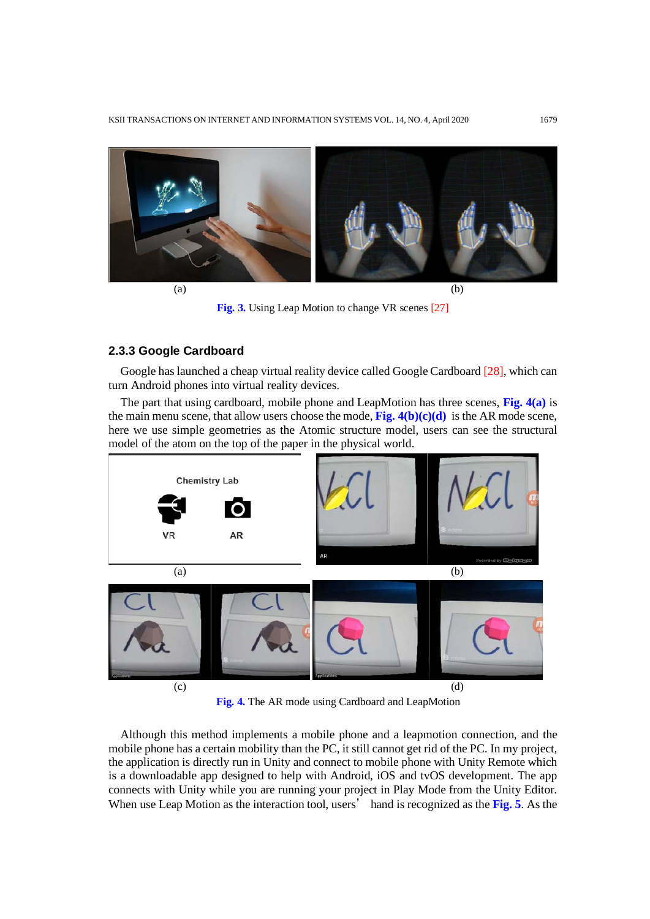

**Fig. 3.** Using Leap Motion to change VR scenes [27]

## **2.3.3 Google Cardboard**

Google has launched a cheap virtual reality device called Google Cardboard [28], which can turn Android phones into virtual reality devices.

The part that using cardboard, mobile phone and LeapMotion has three scenes, **Fig. 4(a)** is the main menu scene, that allow users choose the mode, **Fig. 4(b)(c)(d)** is the AR mode scene, here we use simple geometries as the Atomic structure model, users can see the structural model of the atom on the top of the paper in the physical world.



**Fig. 4.** The AR mode using Cardboard and LeapMotion

Although this method implements a mobile phone and a leapmotion connection, and the mobile phone has a certain mobility than the PC, it still cannot get rid of the PC. In my project, the application is directly run in Unity and connect to mobile phone with Unity Remote which is a downloadable app designed to help with Android, iOS and tvOS development. The app connects with Unity while you are running your project in Play Mode from the Unity Editor. When use Leap Motion as the interaction tool, users' hand is recognized as the **Fig. 5**. As the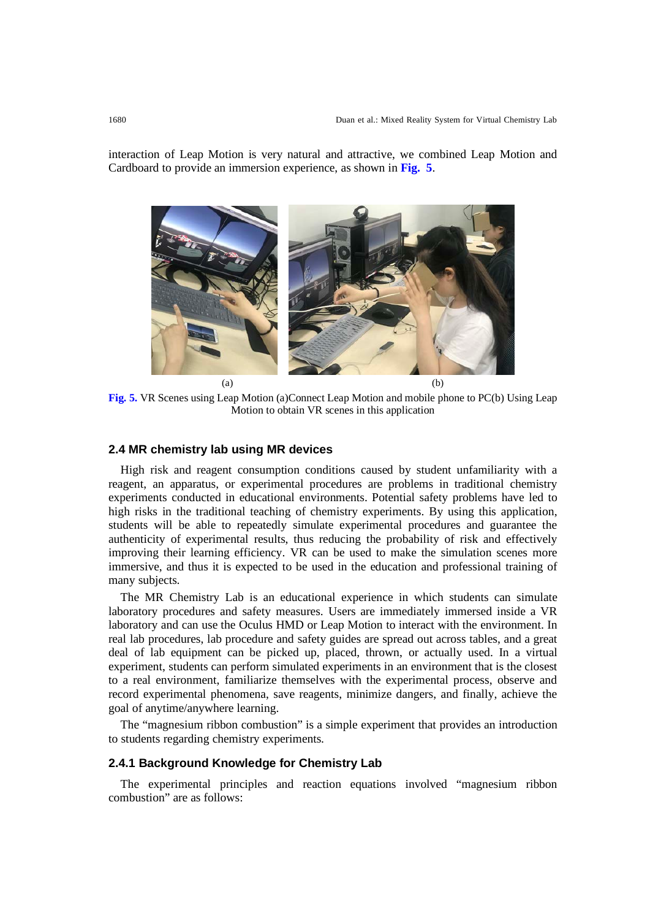interaction of Leap Motion is very natural and attractive, we combined Leap Motion and Cardboard to provide an immersion experience, as shown in **Fig. 5**.



**Fig. 5.** VR Scenes using Leap Motion (a)Connect Leap Motion and mobile phone to PC(b) Using Leap Motion to obtain VR scenes in this application

#### **2.4 MR chemistry lab using MR devices**

High risk and reagent consumption conditions caused by student unfamiliarity with a reagent, an apparatus, or experimental procedures are problems in traditional chemistry experiments conducted in educational environments. Potential safety problems have led to high risks in the traditional teaching of chemistry experiments. By using this application, students will be able to repeatedly simulate experimental procedures and guarantee the authenticity of experimental results, thus reducing the probability of risk and effectively improving their learning efficiency. VR can be used to make the simulation scenes more immersive, and thus it is expected to be used in the education and professional training of many subjects.

The MR Chemistry Lab is an educational experience in which students can simulate laboratory procedures and safety measures. Users are immediately immersed inside a VR laboratory and can use the Oculus HMD or Leap Motion to interact with the environment. In real lab procedures, lab procedure and safety guides are spread out across tables, and a great deal of lab equipment can be picked up, placed, thrown, or actually used. In a virtual experiment, students can perform simulated experiments in an environment that is the closest to a real environment, familiarize themselves with the experimental process, observe and record experimental phenomena, save reagents, minimize dangers, and finally, achieve the goal of anytime/anywhere learning.

The "magnesium ribbon combustion" is a simple experiment that provides an introduction to students regarding chemistry experiments.

#### **2.4.1 Background Knowledge for Chemistry Lab**

The experimental principles and reaction equations involved "magnesium ribbon combustion" are as follows: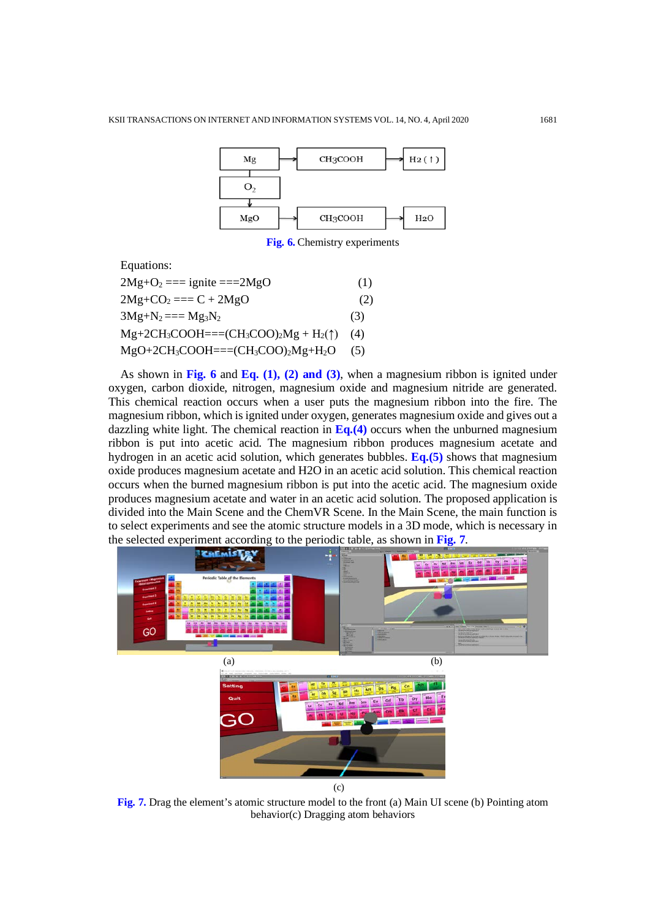

**Fig. 6.** Chemistry experiments

Equations:

 $2Mg + O_2 ==$  ignite === $2MgO$  (1)  $2Mg + CO_2 == C + 2MgO$  (2)  $3Mg + N_2 == Mg_3N_2$  (3)  $Mg + 2CH_3COOH = = (CH_3COO)_2Mg + H_2(\uparrow)$  (4)  $MgO+2CH_3COOH==(CH_3COO)_2Mg+H_2O$  (5)

As shown in **Fig. 6** and **Eq. (1), (2) and (3)**, when a magnesium ribbon is ignited under oxygen, carbon dioxide, nitrogen, magnesium oxide and magnesium nitride are generated. This chemical reaction occurs when a user puts the magnesium ribbon into the fire. The magnesium ribbon, which is ignited under oxygen, generates magnesium oxide and gives out a dazzling white light. The chemical reaction in **Eq.(4)** occurs when the unburned magnesium ribbon is put into acetic acid. The magnesium ribbon produces magnesium acetate and hydrogen in an acetic acid solution, which generates bubbles. **Eq.(5)** shows that magnesium oxide produces magnesium acetate and H2O in an acetic acid solution. This chemical reaction occurs when the burned magnesium ribbon is put into the acetic acid. The magnesium oxide produces magnesium acetate and water in an acetic acid solution. The proposed application is divided into the Main Scene and the ChemVR Scene. In the Main Scene, the main function is to select experiments and see the atomic structure models in a 3D mode, which is necessary in the selected experiment according to the periodic table, as shown in **Fig. 7**.



**Fig. 7.** Drag the element's atomic structure model to the front (a) Main UI scene (b) Pointing atom behavior(c) Dragging atom behaviors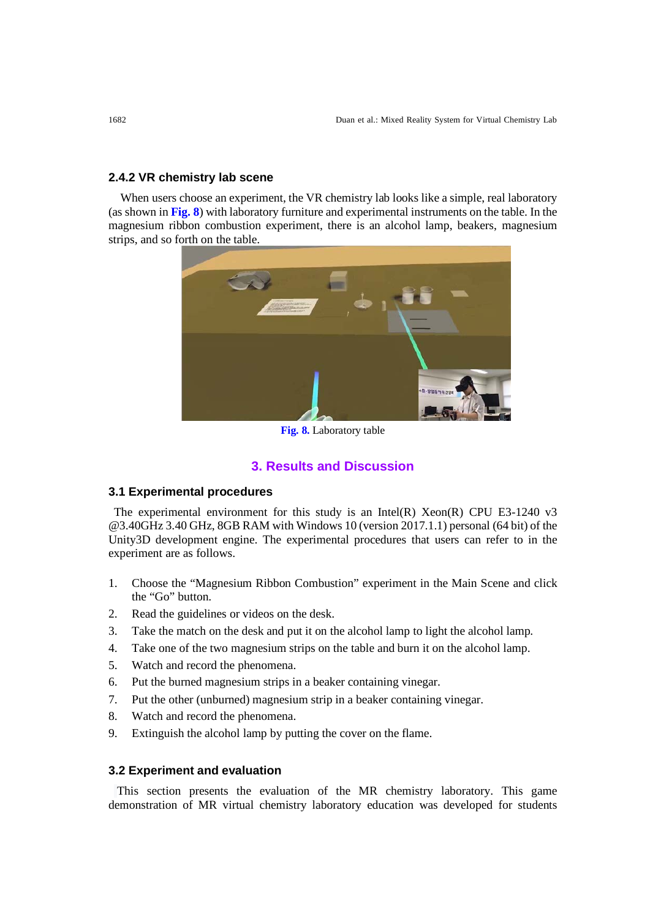#### **2.4.2 VR chemistry lab scene**

When users choose an experiment, the VR chemistry lab looks like a simple, real laboratory (as shown in **Fig. 8**) with laboratory furniture and experimental instruments on the table. In the magnesium ribbon combustion experiment, there is an alcohol lamp, beakers, magnesium strips, and so forth on the table.



**Fig. 8.** Laboratory table

# **3. Results and Discussion**

### **3.1 Experimental procedures**

The experimental environment for this study is an Intel(R) Xeon(R) CPU E3-1240 v3 @3.40GHz 3.40 GHz, 8GB RAM with Windows 10 (version 2017.1.1) personal (64 bit) of the Unity3D development engine. The experimental procedures that users can refer to in the experiment are as follows.

- 1. Choose the "Magnesium Ribbon Combustion" experiment in the Main Scene and click the "Go" button.
- 2. Read the guidelines or videos on the desk.
- 3. Take the match on the desk and put it on the alcohol lamp to light the alcohol lamp.
- 4. Take one of the two magnesium strips on the table and burn it on the alcohol lamp.
- 5. Watch and record the phenomena.
- 6. Put the burned magnesium strips in a beaker containing vinegar.
- 7. Put the other (unburned) magnesium strip in a beaker containing vinegar.
- 8. Watch and record the phenomena.
- 9. Extinguish the alcohol lamp by putting the cover on the flame.

#### **3.2 Experiment and evaluation**

This section presents the evaluation of the MR chemistry laboratory. This game demonstration of MR virtual chemistry laboratory education was developed for students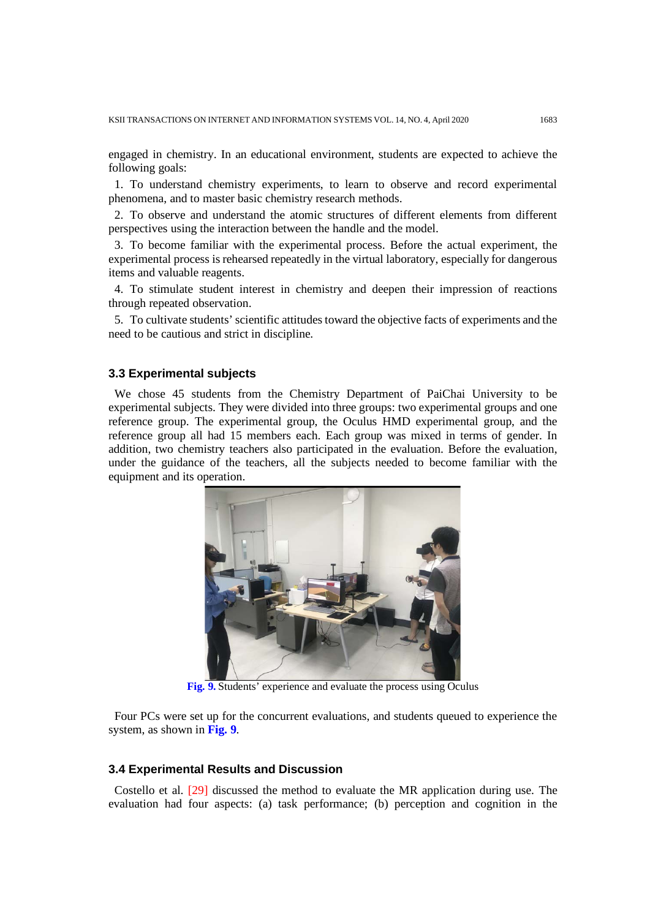engaged in chemistry. In an educational environment, students are expected to achieve the following goals:

1. To understand chemistry experiments, to learn to observe and record experimental phenomena, and to master basic chemistry research methods.

2. To observe and understand the atomic structures of different elements from different perspectives using the interaction between the handle and the model.

3. To become familiar with the experimental process. Before the actual experiment, the experimental process is rehearsed repeatedly in the virtual laboratory, especially for dangerous items and valuable reagents.

4. To stimulate student interest in chemistry and deepen their impression of reactions through repeated observation.

5. To cultivate students' scientific attitudes toward the objective facts of experiments and the need to be cautious and strict in discipline.

#### **3.3 Experimental subjects**

We chose 45 students from the Chemistry Department of PaiChai University to be experimental subjects. They were divided into three groups: two experimental groups and one reference group. The experimental group, the Oculus HMD experimental group, and the reference group all had 15 members each. Each group was mixed in terms of gender. In addition, two chemistry teachers also participated in the evaluation. Before the evaluation, under the guidance of the teachers, all the subjects needed to become familiar with the equipment and its operation.



**Fig. 9.** Students' experience and evaluate the process using Oculus

Four PCs were set up for the concurrent evaluations, and students queued to experience the system, as shown in **Fig. 9**.

#### **3.4 Experimental Results and Discussion**

Costello et al. [29] discussed the method to evaluate the MR application during use. The evaluation had four aspects: (a) task performance; (b) perception and cognition in the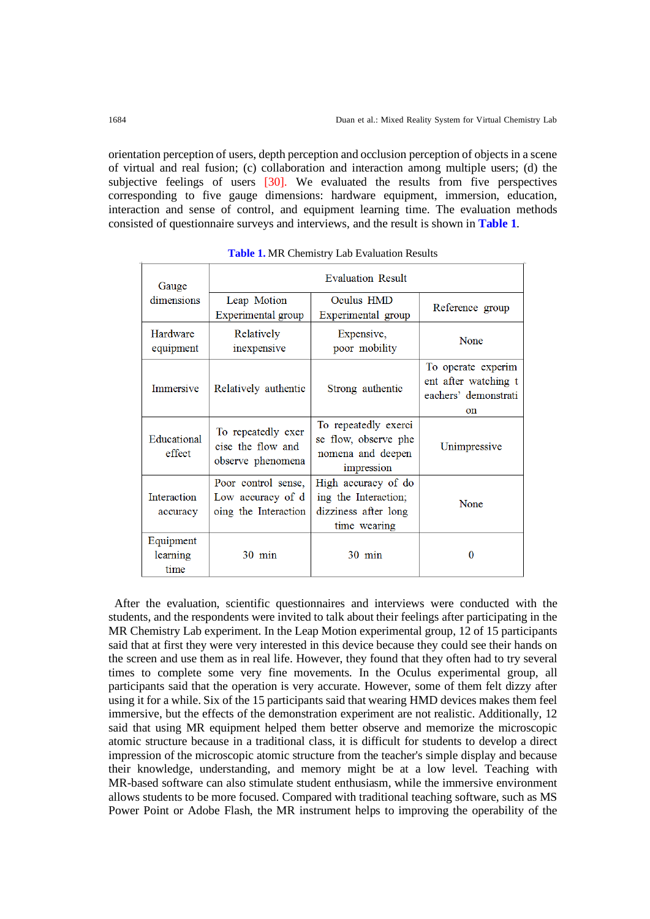orientation perception of users, depth perception and occlusion perception of objects in a scene of virtual and real fusion; (c) collaboration and interaction among multiple users; (d) the subjective feelings of users [30]. We evaluated the results from five perspectives corresponding to five gauge dimensions: hardware equipment, immersion, education, interaction and sense of control, and equipment learning time. The evaluation methods consisted of questionnaire surveys and interviews, and the result is shown in **Table 1**.

| Gauge<br>dimensions           | <b>Evaluation Result</b>                                         |                                                                                     |                                                                          |
|-------------------------------|------------------------------------------------------------------|-------------------------------------------------------------------------------------|--------------------------------------------------------------------------|
|                               | Leap Motion<br>Experimental group                                | Oculus HMD<br>Experimental group                                                    | Reference group                                                          |
| Hardware<br>equipment         | Relatively<br>inexpensive                                        | Expensive,<br>poor mobility                                                         | None                                                                     |
| Immersive                     | Relatively authentic                                             | Strong authentic                                                                    | To operate experim<br>ent after watching t<br>eachers' demonstrati<br>on |
| Educational<br>effect         | To repeatedly exer<br>cise the flow and<br>observe phenomena     | To repeatedly exerci<br>se flow, observe phe<br>nomena and deepen<br>impression     | Unimpressive                                                             |
| Interaction<br>accuracy       | Poor control sense,<br>Low accuracy of d<br>oing the Interaction | High accuracy of do<br>ing the Interaction;<br>dizziness after long<br>time wearing | None                                                                     |
| Equipment<br>learning<br>time | $30$ min                                                         | $30 \text{ min}$                                                                    | 0                                                                        |

**Table 1.** MR Chemistry Lab Evaluation Results

After the evaluation, scientific questionnaires and interviews were conducted with the students, and the respondents were invited to talk about their feelings after participating in the MR Chemistry Lab experiment. In the Leap Motion experimental group, 12 of 15 participants said that at first they were very interested in this device because they could see their hands on the screen and use them as in real life. However, they found that they often had to try several times to complete some very fine movements. In the Oculus experimental group, all participants said that the operation is very accurate. However, some of them felt dizzy after using it for a while. Six of the 15 participants said that wearing HMD devices makes them feel immersive, but the effects of the demonstration experiment are not realistic. Additionally, 12 said that using MR equipment helped them better observe and memorize the microscopic atomic structure because in a traditional class, it is difficult for students to develop a direct impression of the microscopic atomic structure from the teacher's simple display and because their knowledge, understanding, and memory might be at a low level. Teaching with MR-based software can also stimulate student enthusiasm, while the immersive environment allows students to be more focused. Compared with traditional teaching software, such as MS Power Point or Adobe Flash, the MR instrument helps to improving the operability of the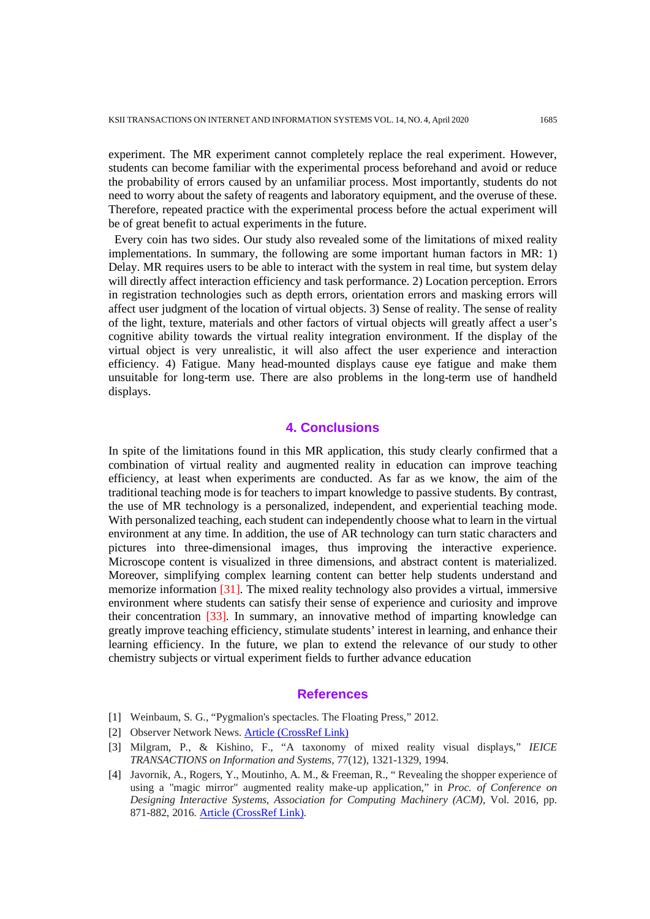experiment. The MR experiment cannot completely replace the real experiment. However, students can become familiar with the experimental process beforehand and avoid or reduce the probability of errors caused by an unfamiliar process. Most importantly, students do not need to worry about the safety of reagents and laboratory equipment, and the overuse of these. Therefore, repeated practice with the experimental process before the actual experiment will be of great benefit to actual experiments in the future.

Every coin has two sides. Our study also revealed some of the limitations of mixed reality implementations. In summary, the following are some important human factors in MR: 1) Delay. MR requires users to be able to interact with the system in real time, but system delay will directly affect interaction efficiency and task performance. 2) Location perception. Errors in registration technologies such as depth errors, orientation errors and masking errors will affect user judgment of the location of virtual objects. 3) Sense of reality. The sense of reality of the light, texture, materials and other factors of virtual objects will greatly affect a user's cognitive ability towards the virtual reality integration environment. If the display of the virtual object is very unrealistic, it will also affect the user experience and interaction efficiency. 4) Fatigue. Many head-mounted displays cause eye fatigue and make them unsuitable for long-term use. There are also problems in the long-term use of handheld displays.

## **4. Conclusions**

In spite of the limitations found in this MR application, this study clearly confirmed that a combination of virtual reality and augmented reality in education can improve teaching efficiency, at least when experiments are conducted. As far as we know, the aim of the traditional teaching mode is for teachers to impart knowledge to passive students. By contrast, the use of MR technology is a personalized, independent, and experiential teaching mode. With personalized teaching, each student can independently choose what to learn in the virtual environment at any time. In addition, the use of AR technology can turn static characters and pictures into three-dimensional images, thus improving the interactive experience. Microscope content is visualized in three dimensions, and abstract content is materialized. Moreover, simplifying complex learning content can better help students understand and memorize information [31]. The mixed reality technology also provides a virtual, immersive environment where students can satisfy their sense of experience and curiosity and improve their concentration [33]. In summary, an innovative method of imparting knowledge can greatly improve teaching efficiency, stimulate students' interest in learning, and enhance their learning efficiency. In the future, we plan to extend the relevance of our study to other chemistry subjects or virtual experiment fields to further advance education

### **References**

- [1] Weinbaum, S. G., "Pygmalion's spectacles. The Floating Press," 2012.
- [2] Observer Network News[. Article \(CrossRef Link\)](https://www.guancha.cn/politics/2018_12_26_484657.shtml)
- [3] Milgram, P., & Kishino, F., "A taxonomy of mixed reality visual displays," *IEICE TRANSACTIONS on Information and Systems*, 77(12), 1321-1329, 1994.
- [4] Javornik, A., Rogers, Y., Moutinho, A. M., & Freeman, R., " Revealing the shopper experience of using a "magic mirror" augmented reality make-up application," in *Proc. of Conference on Designing Interactive Systems, Association for Computing Machinery (ACM)*, Vol. 2016, pp. 871-882, 2016[. Article \(CrossRef Link\).](https://www.doi.org/10.1145/2901790.2901881)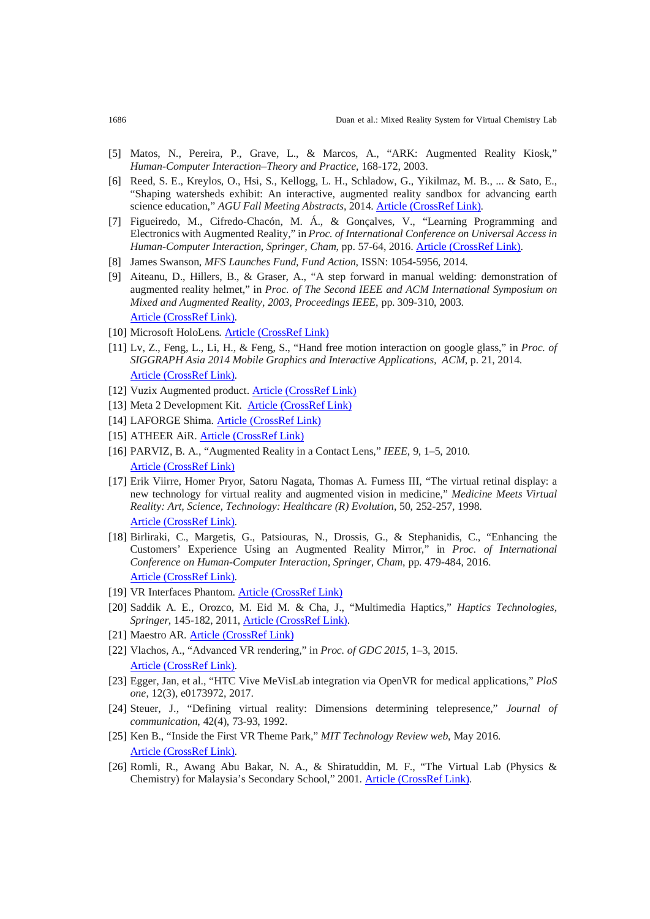- [5] Matos, N., Pereira, P., Grave, L., & Marcos, A., "ARK: Augmented Reality Kiosk," *Human-Computer Interaction–Theory and Practice*, 168-172, 2003.
- [6] Reed, S. E., Kreylos, O., Hsi, S., Kellogg, L. H., Schladow, G., Yikilmaz, M. B., ... & Sato, E., "Shaping watersheds exhibit: An interactive, augmented reality sandbox for advancing earth science education," *AGU Fall Meeting Abstracts*, 2014[. Article \(CrossRef Link\).](https://ui.adsabs.harvard.edu/abs/2014AGUFMED34A..01R/abstract)
- [7] Figueiredo, M., Cifredo-Chacón, M. Á., & Gonçalves, V., "Learning Programming and Electronics with Augmented Reality," in *Proc. of International Conference on Universal Access in Human-Computer Interaction, Springer, Cham*, pp. 57-64, 2016. [Article \(CrossRef Link\).](https://www.doi.org/10.1007/978-3-319-40238-3_6)
- [8] James Swanson, *MFS Launches Fund, Fund Action*, ISSN: 1054-5956, 2014.
- [9] Aiteanu, D., Hillers, B., & Graser, A., "A step forward in manual welding: demonstration of augmented reality helmet," in *Proc. of The Second IEEE and ACM International Symposium on Mixed and Augmented Reality, 2003, Proceedings IEEE*, pp. 309-310, 2003. [Article \(CrossRef Link\).](https://www.doi.org/10.1109/ISMAR.2003.1240734)
- [10] Microsoft HoloLens[. Article \(CrossRef Link\)](https://www.microsoft.com/en-us/hololens)
- [11] Lv, Z., Feng, L., Li, H., & Feng, S., "Hand free motion interaction on google glass," in *Proc. of SIGGRAPH Asia 2014 Mobile Graphics and Interactive Applications, ACM*, p. 21, 2014. [Article \(CrossRef Link\).](https://doi.org/10.1145/2669062.2669066)
- [12] Vuzix Augmented product. **Article (CrossRef Link)**
- [13] Meta 2 Development Kit. [Article \(CrossRef Link\)](https://docs.metavision.com/external/doc/latest/)
- [14] LAFORGE Shima. [Article \(CrossRef Link\)](https://laforgeoptical.com/)
- [15] ATHEER AiR. [Article \(CrossRef Link\)](https://atheerair.com/)
- [16] PARVIZ, B. A., "Augmented Reality in a Contact Lens," *IEEE*, 9, 1–5, 2010. [Article \(CrossRef Link\)](https://www.mendeley.com/catalogue/augmented-reality-contact-lens/)
- [17] Erik Viirre, Homer Pryor, Satoru Nagata, Thomas A. Furness III, "The virtual retinal display: a new technology for virtual reality and augmented vision in medicine," *Medicine Meets Virtual Reality: Art, Science, Technology: Healthcare (R) Evolution*, 50, 252-257, 1998. [Article \(CrossRef Link\).](https://doi.org/10.3233/978-1-60750-894-6-252)
- [18] Birliraki, C., Margetis, G., Patsiouras, N., Drossis, G., & Stephanidis, C., "Enhancing the Customers' Experience Using an Augmented Reality Mirror," in *Proc. of International Conference on Human-Computer Interaction, Springer, Cham*, pp. 479-484, 2016. [Article \(CrossRef Link\).](https://doi.org/10.1007/978-3-319-40542-1_77)
- [19] VR Interfaces Phantom. **Article (CrossRef Link)**
- [20] Saddik A. E., Orozco, M. Eid M. & Cha, J., "Multimedia Haptics," *Haptics Technologies, Springer*, 145-182, 2011[, Article \(CrossRef Link\).](https://link.springer.com/chapter/10.1007/978-3-642-22658-8_6)
- [21] Maestro AR. [Article \(CrossRef Link\)](https://mimicsimulation.com/maestro-ar/)
- [22] Vlachos, A., "Advanced VR rendering," in *Proc. of GDC 2015*, 1–3, 2015. [Article \(CrossRef Link\).](https://www.mendeley.com/catalogue/advanced-vr-rendering/)
- [23] Egger, Jan, et al., "HTC Vive MeVisLab integration via OpenVR for medical applications," *PloS one*, 12(3), e0173972, 2017.
- [24] Steuer, J., "Defining virtual reality: Dimensions determining telepresence," *Journal of communication*, 42(4), 73-93, 1992.
- [25] Ken B., "Inside the First VR Theme Park," *MIT Technology Review web*, May 2016. [Article \(CrossRef Link\).](https://www.technologyreview.com/s/544096/inside-the-first-vr-theme-park/)
- [26] Romli, R., Awang Abu Bakar, N. A., & Shiratuddin, M. F., "The Virtual Lab (Physics & Chemistry) for Malaysia's Secondary School," 2001. [Article \(CrossRef](http://researchrepository.murdoch.edu.au/7939/) Link).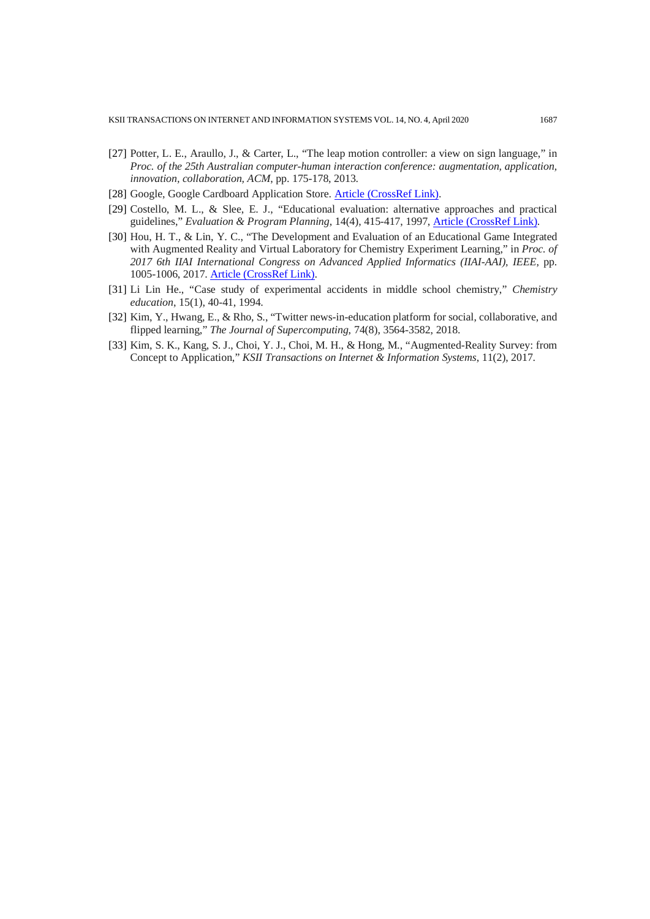- [27] Potter, L. E., Araullo, J., & Carter, L., "The leap motion controller: a view on sign language," in *Proc. of the 25th Australian computer-human interaction conference: augmentation, application, innovation, collaboration, ACM*, pp. 175-178, 2013.
- [28] Google, Google Cardboard Application Store. [Article \(CrossRef Link\).](https://arvr.google.com/cardboard/get-cardboard/)
- [29] Costello, M. L., & Slee, E. J., "Educational evaluation: alternative approaches and practical guidelines," *Evaluation & Program Planning*, 14(4), 415-417, 1997[, Article \(CrossRef Link\).](https://doi.org/10.1016/0149-7189(91)90029-G)
- [30] Hou, H. T., & Lin, Y. C., "The Development and Evaluation of an Educational Game Integrated with Augmented Reality and Virtual Laboratory for Chemistry Experiment Learning," in *Proc. of 2017 6th IIAI International Congress on Advanced Applied Informatics (IIAI-AAI), IEEE*, pp. 1005-1006, 2017[. Article \(CrossRef Link\).](https://doi.org/10.1109/IIAI-AAI.2017.14)
- [31] Li Lin He., "Case study of experimental accidents in middle school chemistry," *Chemistry education*, 15(1), 40-41, 1994.
- [32] Kim, Y., Hwang, E., & Rho, S., "Twitter news-in-education platform for social, collaborative, and flipped learning," *The Journal of Supercomputing*, 74(8), 3564-3582, 2018.
- [33] Kim, S. K., Kang, S. J., Choi, Y. J., Choi, M. H., & Hong, M., "Augmented-Reality Survey: from Concept to Application," *KSII Transactions on Internet & Information Systems*, 11(2), 2017.